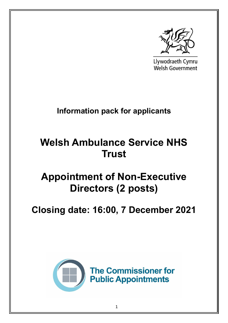

Llywodraeth Cymru **Welsh Government** 

## **Information pack for applicants**

# **Welsh Ambulance Service NHS Trust**

## **Appointment of Non-Executive Directors (2 posts)**

## **Closing date: 16:00, 7 December 2021**

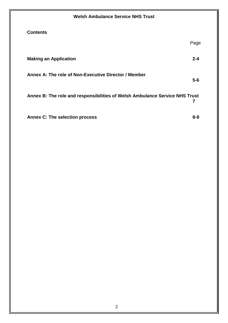| <b>Welsh Ambulance Service NHS Trust</b>                                    |         |
|-----------------------------------------------------------------------------|---------|
| <b>Contents</b>                                                             |         |
|                                                                             | Page    |
| <b>Making an Application</b>                                                | $2 - 4$ |
| Annex A: The role of Non-Executive Director / Member                        | $5-6$   |
| Annex B: The role and responsibilities of Welsh Ambulance Service NHS Trust | 7       |
| <b>Annex C: The selection process</b>                                       | $8 - 9$ |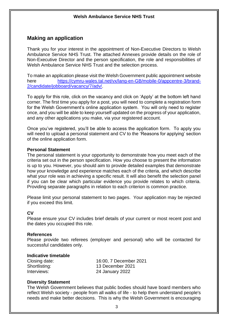## **Making an application**

Thank you for your interest in the appointment of Non-Executive Directors to Welsh Ambulance Service NHS Trust. The attached Annexes provide details on the role of Non-Executive Director and the person specification, the role and responsibilities of Welsh Ambulance Service NHS Trust and the selection process.

To make an application please visit the Welsh Government public appointment website here [https://cymru-wales.tal.net/vx/lang-en-GB/mobile-0/appcentre-3/brand-](https://cymru-wales.tal.net/vx/lang-en-GB/mobile-0/appcentre-3/brand-2/candidate/jobboard/vacancy/7/adv/)[2/candidate/jobboard/vacancy/7/adv/.](https://cymru-wales.tal.net/vx/lang-en-GB/mobile-0/appcentre-3/brand-2/candidate/jobboard/vacancy/7/adv/)

To apply for this role, click on the vacancy and click on 'Apply' at the bottom left hand corner. The first time you apply for a post, you will need to complete a registration form for the Welsh Government's online application system. You will only need to register once, and you will be able to keep yourself updated on the progress of your application, and any other applications you make, via your registered account.

Once you've registered, you'll be able to access the application form. To apply you will need to upload a personal statement and CV to the 'Reasons for applying' section of the online application form.

#### **Personal Statement**

The personal statement is your opportunity to demonstrate how you meet each of the criteria set out in the person specification. How you choose to present the information is up to you. However, you should aim to provide detailed examples that demonstrate how your knowledge and experience matches each of the criteria, and which describe what your role was in achieving a specific result. It will also benefit the selection panel if you can be clear which particular evidence you provide relates to which criteria. Providing separate paragraphs in relation to each criterion is common practice.

Please limit your personal statement to two pages. Your application may be rejected if you exceed this limit.

### **CV**

Please ensure your CV includes brief details of your current or most recent post and the dates you occupied this role.

#### **References**

Please provide two referees (employer and personal) who will be contacted for successful candidates only.

#### **Indicative timetable**

| Closing date: | 16:00, 7 December 2021 |
|---------------|------------------------|
| Shortlisting: | 13 December 2021       |
| Interviews:   | 24 January 2022        |

#### **Diversity Statement**

The Welsh Government believes that public bodies should have board members who reflect Welsh society - people from all walks of life - to help them understand people's needs and make better decisions. This is why the Welsh Government is encouraging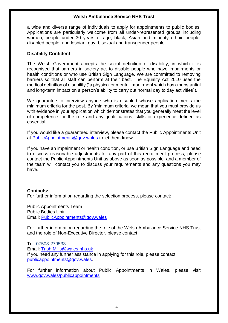a wide and diverse range of individuals to apply for appointments to public bodies. Applications are particularly welcome from all under-represented groups including women, people under 30 years of age, black, Asian and minority ethnic people, disabled people, and lesbian, gay, bisexual and transgender people.

#### **Disability Confident**

The Welsh Government accepts the social definition of disability, in which it is recognised that barriers in society act to disable people who have impairments or health conditions or who use British Sign Language. We are committed to removing barriers so that all staff can perform at their best. The Equality Act 2010 uses the medical definition of disability ("a physical or mental impairment which has a substantial and long-term impact on a person's ability to carry out normal day to day activities").

We guarantee to interview anyone who is disabled whose application meets the minimum criteria for the post. By 'minimum criteria' we mean that you must provide us with evidence in your application which demonstrates that you generally meet the level of competence for the role and any qualifications, skills or experience defined as essential.

If you would like a guaranteed interview, please contact the Public Appointments Unit at [PublicAppointments@gov.wales](mailto:PublicAppointments@gov.wales) to let them know.

If you have an impairment or health condition, or use British Sign Language and need to discuss reasonable adjustments for any part of this recruitment process, please contact the Public Appointments Unit as above as soon as possible and a member of the team will contact you to discuss your requirements and any questions you may have.

### **Contacts:**

For further information regarding the selection process, please contact:

Public Appointments Team Public Bodies Unit Email: [PublicAppointments@gov.wales](mailto:PublicAppointments@gov.wales)

For further information regarding the role of the Welsh Ambulance Service NHS Trust and the role of Non-Executive Director, please contact

Tel: 07508-279533 Email: [Trish.Mills@wales.nhs.uk](mailto:Trish.Mills@wales.nhs.uk) If you need any further assistance in applying for this role, please contact [publicappointments@gov.wales.](mailto:publicappointments@gov.wales)

For further information about Public Appointments in Wales, please visit [www.gov.wales/publicappointments](http://www.gov.wales/publicappointments)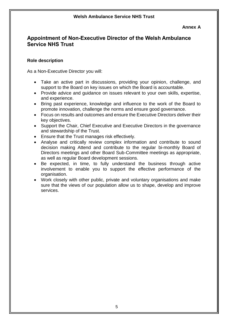#### **Annex A**

## **Appointment of Non-Executive Director of the Welsh Ambulance Service NHS Trust**

## **Role description**

As a Non-Executive Director you will:

- Take an active part in discussions, providing your opinion, challenge, and support to the Board on key issues on which the Board is accountable.
- Provide advice and quidance on issues relevant to your own skills, expertise, and experience.
- Bring past experience, knowledge and influence to the work of the Board to promote innovation, challenge the norms and ensure good governance.
- Focus on results and outcomes and ensure the Executive Directors deliver their key objectives.
- Support the Chair, Chief Executive and Executive Directors in the governance and stewardship of the Trust.
- Ensure that the Trust manages risk effectively.
- Analyse and critically review complex information and contribute to sound decision making Attend and contribute to the regular bi-monthly Board of Directors meetings and other Board Sub-Committee meetings as appropriate, as well as regular Board development sessions.
- Be expected, in time, to fully understand the business through active involvement to enable you to support the effective performance of the organisation.
- Work closely with other public, private and voluntary organisations and make sure that the views of our population allow us to shape, develop and improve services.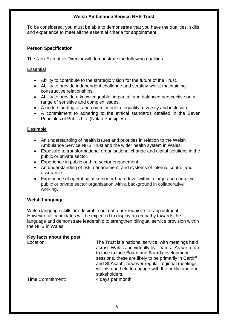To be considered, you must be able to demonstrate that you have the qualities, skills and experience to meet all the essential criteria for appointment.

## **Person Specification**

The Non-Executive Director will demonstrate the following qualities:

## **Essential**

- Ability to contribute to the strategic vision for the future of the Trust.
- Ability to provide independent challenge and scrutiny whilst maintaining constructive relationships.
- Ability to provide a knowledgeable, impartial, and balanced perspective on a range of sensitive and complex issues.
- A understanding of, and commitment to, equality, diversity and inclusion.
- A commitment to adhering to the ethical standards detailed in the Seven Principles of Public Life (Nolan Principles).

## Desirable

- An understanding of health issues and priorities in relation to the Welsh Ambulance Service NHS Trust and the wider health system in Wales.
- Exposure to transformational organisational change and digital solutions in the public or private sector.
- Experience in public or third sector engagement.
- An understanding of risk management, and systems of internal control and assurance.
- Experience of operating at senior or board level within a large and complex public or private sector organisation with a background in collaborative working.

## **Welsh Language**

Welsh language skills are desirable but not a pre-requisite for appointment. However, all candidates will be expected to display an empathy towards the language and demonstrate leadership to strengthen bilingual service provision within the NHS in Wales.

## **Key facts about the post**

| Location:        | The Trust is a national service, with meetings held<br>across Wales and virtually by Teams. As we return<br>to face to face Board and Board development<br>sessions, these are likely to be primarily in Cardiff<br>and St Asaph, however regular regional meetings<br>will also be held to engage with the public and our<br>stakeholders. |
|------------------|---------------------------------------------------------------------------------------------------------------------------------------------------------------------------------------------------------------------------------------------------------------------------------------------------------------------------------------------|
| Time Commitment: | 4 days per month                                                                                                                                                                                                                                                                                                                            |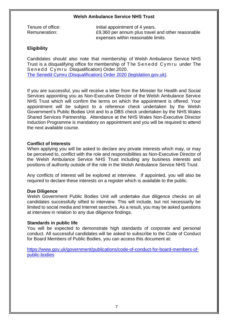Tenure of office: initial appointment of 4 years. Remuneration:  $E9,360$  per annum plus travel and other reasonable expenses within reasonable limits.

### **Eligibility**

Candidates should also note that membership of Welsh Ambulance Service NHS Trust is a disqualifying office for membership of The Senedd Cymru under The Senedd Cymru Disqualification) Order 2020. [The Senedd Cymru \(Disqualification\) Order 2020 \(legislation.gov.uk\).](https://www.legislation.gov.uk/uksi/2020/1255/schedule/made)

If you are successful, you will receive a letter from the Minister for Health and Social Services appointing you as Non-Executive Director of the Welsh Ambulance Service NHS Trust which will confirm the terms on which the appointment is offered. Your appointment will be subject to a reference check undertaken by the Welsh Government's Public Bodies Unit and to a DBS check undertaken by the NHS Wales Shared Services Partnership. Attendance at the NHS Wales Non-Executive Director Induction Programme is mandatory on appointment and you will be required to attend the next available course.

#### **Conflict of Interests**

When applying you will be asked to declare any private interests which may, or may be perceived to, conflict with the role and responsibilities as Non-Executive Director of the Welsh Ambulance Service NHS Trust including any business interests and positions of authority outside of the role in the Welsh Ambulance Service NHS Trust.

Any conflicts of interest will be explored at interview. If appointed, you will also be required to declare these interests on a register which is available to the public.

#### **Due Diligence**

Welsh Government Public Bodies Unit will undertake due diligence checks on all candidates successfully sifted to interview. This will include, but not necessarily be limited to social media and Internet searches. As a result, you may be asked questions at interview in relation to any due diligence findings.

#### **Standards in public life**

You will be expected to demonstrate high standards of corporate and personal conduct. All successful candidates will be asked to subscribe to the Code of Conduct for Board Members of Public Bodies, you can access this document at:

[https://www.gov.uk/government/publications/code-of-conduct-for-board-members-of](https://www.gov.uk/government/publications/code-of-conduct-for-board-members-of-public-bodies)[public-bodies](https://www.gov.uk/government/publications/code-of-conduct-for-board-members-of-public-bodies)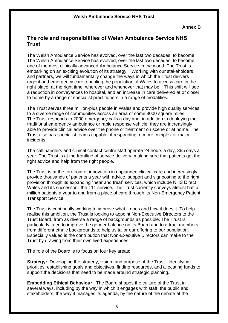## **The role and responsibilities of Welsh Ambulance Service NHS Trust**

The Welsh Ambulance Service has evolved, over the last two decades, to become The Welsh Ambulance Service has evolved, over the last two decades, to become one of the most clinically advanced Ambulance Service in the world. The Trust is embarking on an exciting evolution of its strategy. Working with our stakeholders and partners, we will fundamentally change the ways in which the Trust delivers urgent and emergency care, enabling the population of Wales to access care in the right place, at the right time, wherever and whenever that may be. This shift will see a reduction in conveyances to hospital, and an increase in care delivered at or closer to home by a range of specialist practitioners in a range of modalities.

The Trust serves three million-plus people in Wales and provide high quality services to a diverse range of communities across an area of some 8000 square miles. The Trust responds to 2000 emergency calls a day and, in addition to deploying the traditional emergency ambulance or rapid response vehicle, they are increasingly able to provide clinical advice over the phone or treatment on scene or at home. The Trust also has specialist teams capable of responding to more complex or major incidents.

The call handlers and clinical contact centre staff operate 24 hours a day, 365 days a year. The Trust is at the frontline of service delivery, making sure that patients get the right advice and help from the right people.

The Trust is at the forefront of innovation in unplanned clinical care and increasingly provide thousands of patients a year with advice, support and signposting to the right provision through its expanding "hear and treat" services, which include NHS Direct Wales and its successor - the 111 service. The Trust currently conveys almost half a million patients a year to and from a place of care through its Non-Emergency Patient Transport Service.

The Trust is continually working to improve what it does and how it does it. To help realise this ambition, the Trust is looking to appoint Non-Executive Directors to the Trust Board, from as diverse a range of backgrounds as possible. The Trust is particularly keen to improve the gender balance on its Board and to attract members from different ethnic backgrounds to help us tailor our offering to our population. Especially valued is the contribution that Non-Executive Directors can make to the Trust by drawing from their own lived experiences.

The role of the Board is to focus on four key areas:

**Strategy:** Developing the strategy, vision, and purpose of the Trust. Identifying priorities, establishing goals and objectives, finding resources, and allocating funds to support the decisions that need to be made around strategic planning.

**Embedding Ethical Behaviour**: The Board shapes the culture of the Trust in several ways, including by the way in which it engages with staff, the public and stakeholders, the way it manages its agenda, by the nature of the debate at the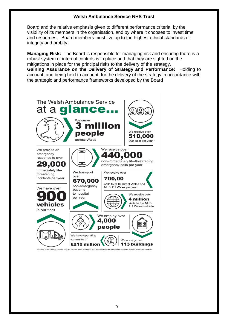Board and the relative emphasis given to different performance criteria, by the visibility of its members in the organisation, and by where it chooses to invest time and resources. Board members must live up to the highest ethical standards of integrity and probity.

**Managing Risk:** The Board is responsible for managing risk and ensuring there is a robust system of internal controls is in place and that they are sighted on the mitigations in place for the principal risks to the delivery of the strategy. **Gaining Assurance on the Delivery of Strategy and Performance:** Holding to account, and being held to account, for the delivery of the strategy in accordance with the strategic and performance frameworks developed by the Board

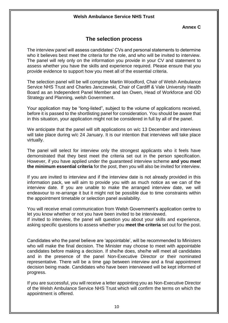**Annex C**

## **The selection process**

The interview panel will assess candidates' CVs and personal statements to determine who it believes best meet the criteria for the role, and who will be invited to interview. The panel will rely only on the information you provide in your CV and statement to assess whether you have the skills and experience required. Please ensure that you provide evidence to support how you meet all of the essential criteria.

The selection panel will be will comprise Martin Woodford, Chair of Welsh Ambulance Service NHS Trust and Charles Janczewski, Chair of Cardiff & Vale University Health Board as an Independent Panel Member and Ian Owen, Head of Workforce and OD Strategy and Planning, welsh Government.

Your application may be "long-listed", subject to the volume of applications received, before it is passed to the shortlisting panel for consideration. You should be aware that in this situation, your application might not be considered in full by all of the panel.

We anticipate that the panel will sift applications on w/c 13 December and interviews will take place during w/c 24 January. It is our intention that interviews will take place virtually.

The panel will select for interview only the strongest applicants who it feels have demonstrated that they best meet the criteria set out in the person specification. However, if you have applied under the guaranteed interview scheme **and you meet the minimum essential criteria** for the post, then you will also be invited for interview.

If you are invited to interview and if the interview date is not already provided in this information pack, we will aim to provide you with as much notice as we can of the interview date. If you are unable to make the arranged interview date, we will endeavour to re-arrange it but it might not be possible due to time constraints within the appointment timetable or selection panel availability.

You will receive email communication from Welsh Government's application centre to let you know whether or not you have been invited to be interviewed.

If invited to interview, the panel will question you about your skills and experience, asking specific questions to assess whether you **meet the criteria** set out for the post.

Candidates who the panel believe are 'appointable', will be recommended to Ministers who will make the final decision. The Minister may choose to meet with appointable candidates before making a decision. If she/he does, she/he will meet all candidates and in the presence of the panel Non-Executive Director or their nominated representative. There will be a time gap between interview and a final appointment decision being made. Candidates who have been interviewed will be kept informed of progress.

If you are successful, you will receive a letter appointing you as Non-Executive Director of the Welsh Ambulance Service NHS Trust which will confirm the terms on which the appointment is offered.